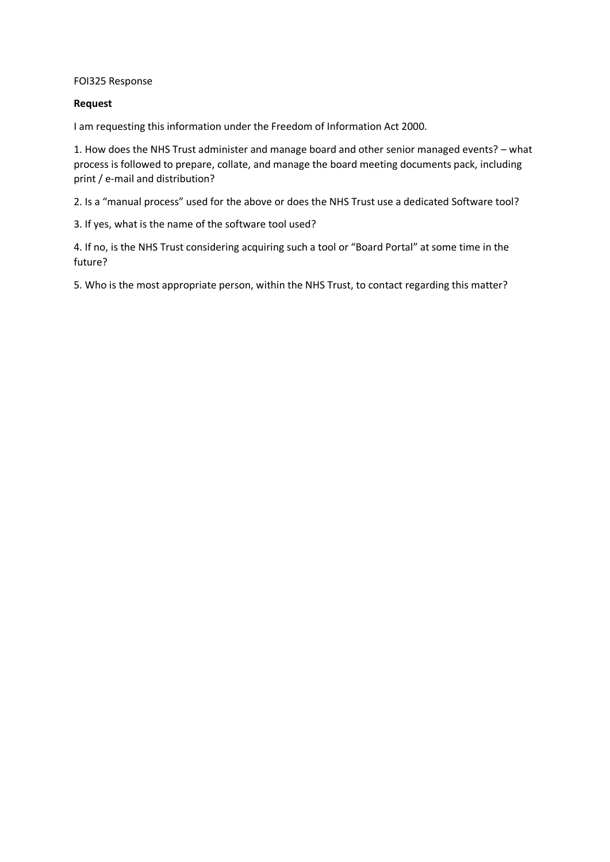#### FOI325 Response

### **Request**

I am requesting this information under the Freedom of Information Act 2000.

1. How does the NHS Trust administer and manage board and other senior managed events? – what process is followed to prepare, collate, and manage the board meeting documents pack, including print / e-mail and distribution?

2. Is a "manual process" used for the above or does the NHS Trust use a dedicated Software tool?

3. If yes, what is the name of the software tool used?

4. If no, is the NHS Trust considering acquiring such a tool or "Board Portal" at some time in the future?

5. Who is the most appropriate person, within the NHS Trust, to contact regarding this matter?